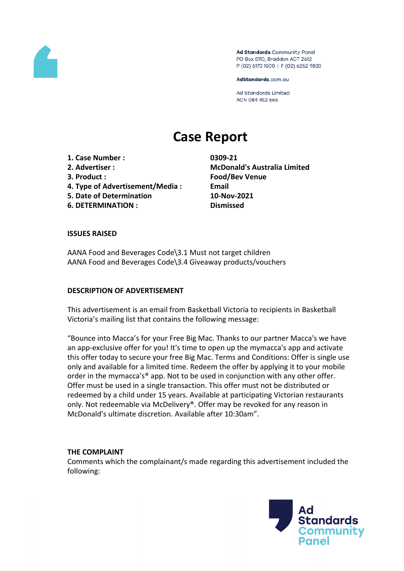

Ad Standards Community Panel PO Box 5110, Braddon ACT 2612 P (02) 6173 1500 | F (02) 6262 9833

AdStandards.com.au

Ad Standards Limited ACN 084 452 666

# **Case Report**

**1. Case Number : 0309-21 2. Advertiser : McDonald's Australia Limited 3. Product : Food/Bev Venue**

- **4. Type of Advertisement/Media : Email**
- **5. Date of Determination 10-Nov-2021 6. DETERMINATION : Dismissed**
- 

#### **ISSUES RAISED**

AANA Food and Beverages Code\3.1 Must not target children AANA Food and Beverages Code\3.4 Giveaway products/vouchers

#### **DESCRIPTION OF ADVERTISEMENT**

This advertisement is an email from Basketball Victoria to recipients in Basketball Victoria's mailing list that contains the following message:

"Bounce into Macca's for your Free Big Mac. Thanks to our partner Macca's we have an app-exclusive offer for you! It's time to open up the mymacca's app and activate this offer today to secure your free Big Mac. Terms and Conditions: Offer is single use only and available for a limited time. Redeem the offer by applying it to your mobile order in the mymacca's® app. Not to be used in conjunction with any other offer. Offer must be used in a single transaction. This offer must not be distributed or redeemed by a child under 15 years. Available at participating Victorian restaurants only. Not redeemable via McDelivery®. Offer may be revoked for any reason in McDonald's ultimate discretion. Available after 10:30am".

#### **THE COMPLAINT**

Comments which the complainant/s made regarding this advertisement included the following:

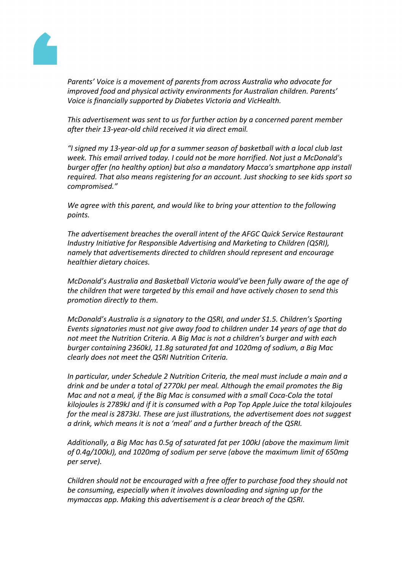

*Parents' Voice is a movement of parents from across Australia who advocate for improved food and physical activity environments for Australian children. Parents' Voice is financially supported by Diabetes Victoria and VicHealth.*

*This advertisement was sent to us for further action by a concerned parent member after their 13-year-old child received it via direct email.*

*"I signed my 13-year-old up for a summer season of basketball with a local club last week. This email arrived today. I could not be more horrified. Not just a McDonald's burger offer (no healthy option) but also a mandatory Macca's smartphone app install required. That also means registering for an account. Just shocking to see kids sport so compromised."*

*We agree with this parent, and would like to bring your attention to the following points.*

*The advertisement breaches the overall intent of the AFGC Quick Service Restaurant Industry Initiative for Responsible Advertising and Marketing to Children (QSRI), namely that advertisements directed to children should represent and encourage healthier dietary choices.*

*McDonald's Australia and Basketball Victoria would've been fully aware of the age of the children that were targeted by this email and have actively chosen to send this promotion directly to them.*

*McDonald's Australia is a signatory to the QSRI, and under S1.5. Children's Sporting Events signatories must not give away food to children under 14 years of age that do not meet the Nutrition Criteria. A Big Mac is not a children's burger and with each burger containing 2360kJ, 11.8g saturated fat and 1020mg of sodium, a Big Mac clearly does not meet the QSRI Nutrition Criteria.*

*In particular, under Schedule 2 Nutrition Criteria, the meal must include a main and a drink and be under a total of 2770kJ per meal. Although the email promotes the Big Mac and not a meal, if the Big Mac is consumed with a small Coca-Cola the total kilojoules is 2789kJ and if it is consumed with a Pop Top Apple Juice the total kilojoules for the meal is 2873kJ. These are just illustrations, the advertisement does not suggest a drink, which means it is not a 'meal' and a further breach of the QSRI.*

*Additionally, a Big Mac has 0.5g of saturated fat per 100kJ (above the maximum limit of 0.4g/100kJ), and 1020mg of sodium per serve (above the maximum limit of 650mg per serve).*

*Children should not be encouraged with a free offer to purchase food they should not be consuming, especially when it involves downloading and signing up for the mymaccas app. Making this advertisement is a clear breach of the QSRI.*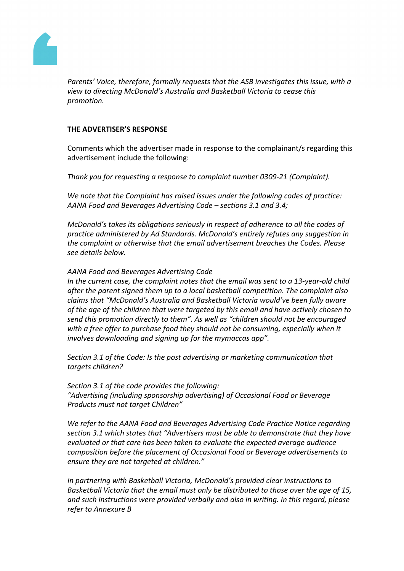

*Parents' Voice, therefore, formally requests that the ASB investigates this issue, with a view to directing McDonald's Australia and Basketball Victoria to cease this promotion.*

## **THE ADVERTISER'S RESPONSE**

Comments which the advertiser made in response to the complainant/s regarding this advertisement include the following:

*Thank you for requesting a response to complaint number 0309-21 (Complaint).*

*We note that the Complaint has raised issues under the following codes of practice: AANA Food and Beverages Advertising Code – sections 3.1 and 3.4;*

*McDonald's takes its obligations seriously in respect of adherence to all the codes of practice administered by Ad Standards. McDonald's entirely refutes any suggestion in the complaint or otherwise that the email advertisement breaches the Codes. Please see details below.*

## *AANA Food and Beverages Advertising Code*

*In the current case, the complaint notes that the email was sent to a 13-year-old child after the parent signed them up to a local basketball competition. The complaint also claims that "McDonald's Australia and Basketball Victoria would've been fully aware of the age of the children that were targeted by this email and have actively chosen to send this promotion directly to them". As well as "children should not be encouraged with a free offer to purchase food they should not be consuming, especially when it involves downloading and signing up for the mymaccas app".*

*Section 3.1 of the Code: Is the post advertising or marketing communication that targets children?*

*Section 3.1 of the code provides the following: "Advertising (including sponsorship advertising) of Occasional Food or Beverage Products must not target Children"*

*We refer to the AANA Food and Beverages Advertising Code Practice Notice regarding section 3.1 which states that "Advertisers must be able to demonstrate that they have evaluated or that care has been taken to evaluate the expected average audience composition before the placement of Occasional Food or Beverage advertisements to ensure they are not targeted at children."*

*In partnering with Basketball Victoria, McDonald's provided clear instructions to Basketball Victoria that the email must only be distributed to those over the age of 15, and such instructions were provided verbally and also in writing. In this regard, please refer to Annexure B*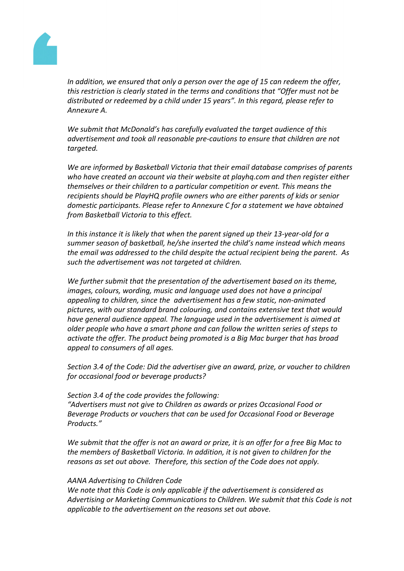

*In addition, we ensured that only a person over the age of 15 can redeem the offer, this restriction is clearly stated in the terms and conditions that "Offer must not be distributed or redeemed by a child under 15 years". In this regard, please refer to Annexure A.*

*We submit that McDonald's has carefully evaluated the target audience of this advertisement and took all reasonable pre-cautions to ensure that children are not targeted.*

*We are informed by Basketball Victoria that their email database comprises of parents who have created an account via their website at playhq.com and then register either themselves or their children to a particular competition or event. This means the recipients should be PlayHQ profile owners who are either parents of kids or senior domestic participants. Please refer to Annexure C for a statement we have obtained from Basketball Victoria to this effect.*

*In this instance it is likely that when the parent signed up their 13-year-old for a summer season of basketball, he/she inserted the child's name instead which means the email was addressed to the child despite the actual recipient being the parent. As such the advertisement was not targeted at children.*

*We further submit that the presentation of the advertisement based on its theme, images, colours, wording, music and language used does not have a principal appealing to children, since the advertisement has a few static, non-animated pictures, with our standard brand colouring, and contains extensive text that would have general audience appeal. The language used in the advertisement is aimed at older people who have a smart phone and can follow the written series of steps to activate the offer. The product being promoted is a Big Mac burger that has broad appeal to consumers of all ages.*

*Section 3.4 of the Code: Did the advertiser give an award, prize, or voucher to children for occasional food or beverage products?* 

*Section 3.4 of the code provides the following:*

*"Advertisers must not give to Children as awards or prizes Occasional Food or Beverage Products or vouchers that can be used for Occasional Food or Beverage Products."*

We submit that the offer is not an award or prize, it is an offer for a free Big Mac to *the members of Basketball Victoria. In addition, it is not given to children for the reasons as set out above. Therefore, this section of the Code does not apply.*

## *AANA Advertising to Children Code*

*We note that this Code is only applicable if the advertisement is considered as Advertising or Marketing Communications to Children. We submit that this Code is not applicable to the advertisement on the reasons set out above.*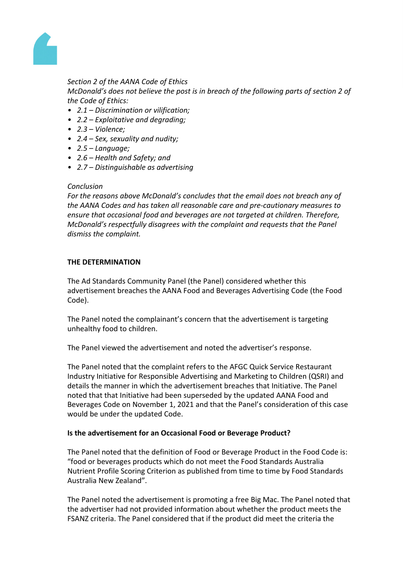

# *Section 2 of the AANA Code of Ethics*

*McDonald's does not believe the post is in breach of the following parts of section 2 of the Code of Ethics:*

- *• 2.1 – Discrimination or vilification;*
- *• 2.2 – Exploitative and degrading;*
- *• 2.3 – Violence;*
- *• 2.4 – Sex, sexuality and nudity;*
- *• 2.5 – Language;*
- *• 2.6 – Health and Safety; and*
- *• 2.7 – Distinguishable as advertising*

#### *Conclusion*

*For the reasons above McDonald's concludes that the email does not breach any of the AANA Codes and has taken all reasonable care and pre-cautionary measures to ensure that occasional food and beverages are not targeted at children. Therefore, McDonald's respectfully disagrees with the complaint and requests that the Panel dismiss the complaint.*

## **THE DETERMINATION**

The Ad Standards Community Panel (the Panel) considered whether this advertisement breaches the AANA Food and Beverages Advertising Code (the Food Code).

The Panel noted the complainant's concern that the advertisement is targeting unhealthy food to children.

The Panel viewed the advertisement and noted the advertiser's response.

The Panel noted that the complaint refers to the AFGC Quick Service Restaurant Industry Initiative for Responsible Advertising and Marketing to Children (QSRI) and details the manner in which the advertisement breaches that Initiative. The Panel noted that that Initiative had been superseded by the updated AANA Food and Beverages Code on November 1, 2021 and that the Panel's consideration of this case would be under the updated Code.

#### **Is the advertisement for an Occasional Food or Beverage Product?**

The Panel noted that the definition of Food or Beverage Product in the Food Code is: "food or beverages products which do not meet the Food Standards Australia Nutrient Profile Scoring Criterion as published from time to time by Food Standards Australia New Zealand".

The Panel noted the advertisement is promoting a free Big Mac. The Panel noted that the advertiser had not provided information about whether the product meets the FSANZ criteria. The Panel considered that if the product did meet the criteria the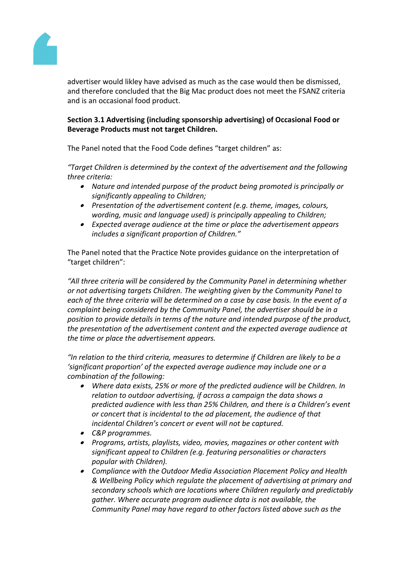

advertiser would likley have advised as much as the case would then be dismissed, and therefore concluded that the Big Mac product does not meet the FSANZ criteria and is an occasional food product.

# **Section 3.1 Advertising (including sponsorship advertising) of Occasional Food or Beverage Products must not target Children.**

The Panel noted that the Food Code defines "target children" as:

*"Target Children is determined by the context of the advertisement and the following three criteria:*

- *Nature and intended purpose of the product being promoted is principally or significantly appealing to Children;*
- *Presentation of the advertisement content (e.g. theme, images, colours, wording, music and language used) is principally appealing to Children;*
- *Expected average audience at the time or place the advertisement appears includes a significant proportion of Children."*

The Panel noted that the Practice Note provides guidance on the interpretation of "target children":

*"All three criteria will be considered by the Community Panel in determining whether or not advertising targets Children. The weighting given by the Community Panel to each of the three criteria will be determined on a case by case basis. In the event of a complaint being considered by the Community Panel, the advertiser should be in a position to provide details in terms of the nature and intended purpose of the product, the presentation of the advertisement content and the expected average audience at the time or place the advertisement appears.*

*"In relation to the third criteria, measures to determine if Children are likely to be a 'significant proportion' of the expected average audience may include one or a combination of the following:*

- $\bullet$  *Where data exists, 25% or more of the predicted audience will be Children. In relation to outdoor advertising, if across a campaign the data shows a predicted audience with less than 25% Children, and there is a Children's event or concert that is incidental to the ad placement, the audience of that incidental Children's concert or event will not be captured.*
- *C&P programmes.*
- *Programs, artists, playlists, video, movies, magazines or other content with significant appeal to Children (e.g. featuring personalities or characters popular with Children).*
- *Compliance with the Outdoor Media Association Placement Policy and Health & Wellbeing Policy which regulate the placement of advertising at primary and secondary schools which are locations where Children regularly and predictably gather. Where accurate program audience data is not available, the Community Panel may have regard to other factors listed above such as the*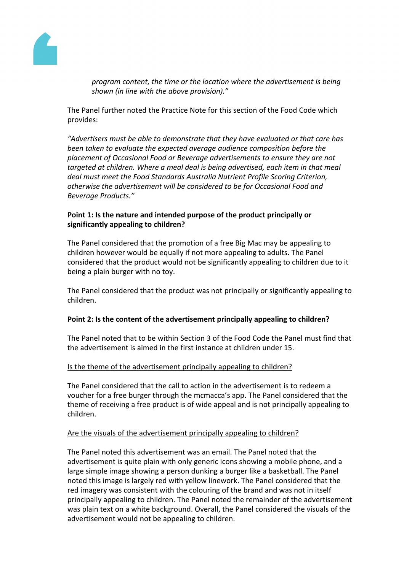

*program content, the time or the location where the advertisement is being shown (in line with the above provision)."*

The Panel further noted the Practice Note for this section of the Food Code which provides:

*"Advertisers must be able to demonstrate that they have evaluated or that care has been taken to evaluate the expected average audience composition before the placement of Occasional Food or Beverage advertisements to ensure they are not targeted at children. Where a meal deal is being advertised, each item in that meal deal must meet the Food Standards Australia Nutrient Profile Scoring Criterion, otherwise the advertisement will be considered to be for Occasional Food and Beverage Products."*

## **Point 1: Is the nature and intended purpose of the product principally or significantly appealing to children?**

The Panel considered that the promotion of a free Big Mac may be appealing to children however would be equally if not more appealing to adults. The Panel considered that the product would not be significantly appealing to children due to it being a plain burger with no toy.

The Panel considered that the product was not principally or significantly appealing to children.

# **Point 2: Is the content of the advertisement principally appealing to children?**

The Panel noted that to be within Section 3 of the Food Code the Panel must find that the advertisement is aimed in the first instance at children under 15.

# Is the theme of the advertisement principally appealing to children?

The Panel considered that the call to action in the advertisement is to redeem a voucher for a free burger through the mcmacca's app. The Panel considered that the theme of receiving a free product is of wide appeal and is not principally appealing to children.

## Are the visuals of the advertisement principally appealing to children?

The Panel noted this advertisement was an email. The Panel noted that the advertisement is quite plain with only generic icons showing a mobile phone, and a large simple image showing a person dunking a burger like a basketball. The Panel noted this image is largely red with yellow linework. The Panel considered that the red imagery was consistent with the colouring of the brand and was not in itself principally appealing to children. The Panel noted the remainder of the advertisement was plain text on a white background. Overall, the Panel considered the visuals of the advertisement would not be appealing to children.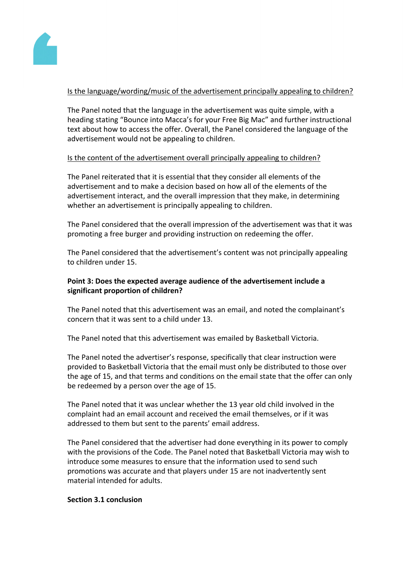

# Is the language/wording/music of the advertisement principally appealing to children?

The Panel noted that the language in the advertisement was quite simple, with a heading stating "Bounce into Macca's for your Free Big Mac" and further instructional text about how to access the offer. Overall, the Panel considered the language of the advertisement would not be appealing to children.

## Is the content of the advertisement overall principally appealing to children?

The Panel reiterated that it is essential that they consider all elements of the advertisement and to make a decision based on how all of the elements of the advertisement interact, and the overall impression that they make, in determining whether an advertisement is principally appealing to children.

The Panel considered that the overall impression of the advertisement was that it was promoting a free burger and providing instruction on redeeming the offer.

The Panel considered that the advertisement's content was not principally appealing to children under 15.

# **Point 3: Does the expected average audience of the advertisement include a significant proportion of children?**

The Panel noted that this advertisement was an email, and noted the complainant's concern that it was sent to a child under 13.

The Panel noted that this advertisement was emailed by Basketball Victoria.

The Panel noted the advertiser's response, specifically that clear instruction were provided to Basketball Victoria that the email must only be distributed to those over the age of 15, and that terms and conditions on the email state that the offer can only be redeemed by a person over the age of 15.

The Panel noted that it was unclear whether the 13 year old child involved in the complaint had an email account and received the email themselves, or if it was addressed to them but sent to the parents' email address.

The Panel considered that the advertiser had done everything in its power to comply with the provisions of the Code. The Panel noted that Basketball Victoria may wish to introduce some measures to ensure that the information used to send such promotions was accurate and that players under 15 are not inadvertently sent material intended for adults.

## **Section 3.1 conclusion**